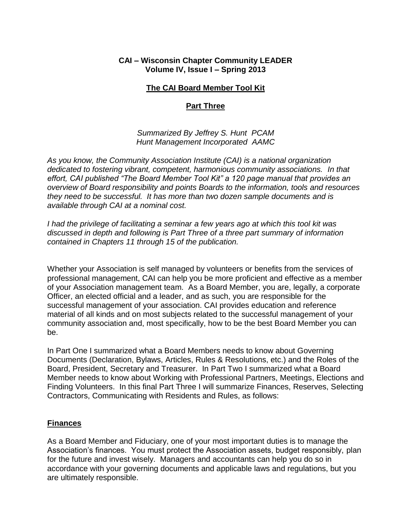#### **CAI – Wisconsin Chapter Community LEADER Volume IV, Issue I – Spring 2013**

## **The CAI Board Member Tool Kit**

## **Part Three**

*Summarized By Jeffrey S. Hunt PCAM Hunt Management Incorporated AAMC*

*As you know, the Community Association Institute (CAI) is a national organization dedicated to fostering vibrant, competent, harmonious community associations. In that effort, CAI published "The Board Member Tool Kit" a 120 page manual that provides an overview of Board responsibility and points Boards to the information, tools and resources they need to be successful. It has more than two dozen sample documents and is available through CAI at a nominal cost.*

*I had the privilege of facilitating a seminar a few years ago at which this tool kit was discussed in depth and following is Part Three of a three part summary of information contained in Chapters 11 through 15 of the publication.*

Whether your Association is self managed by volunteers or benefits from the services of professional management, CAI can help you be more proficient and effective as a member of your Association management team. As a Board Member, you are, legally, a corporate Officer, an elected official and a leader, and as such, you are responsible for the successful management of your association. CAI provides education and reference material of all kinds and on most subjects related to the successful management of your community association and, most specifically, how to be the best Board Member you can be.

In Part One I summarized what a Board Members needs to know about Governing Documents (Declaration, Bylaws, Articles, Rules & Resolutions, etc.) and the Roles of the Board, President, Secretary and Treasurer. In Part Two I summarized what a Board Member needs to know about Working with Professional Partners, Meetings, Elections and Finding Volunteers. In this final Part Three I will summarize Finances, Reserves, Selecting Contractors, Communicating with Residents and Rules, as follows:

#### **Finances**

As a Board Member and Fiduciary, one of your most important duties is to manage the Association's finances. You must protect the Association assets, budget responsibly, plan for the future and invest wisely. Managers and accountants can help you do so in accordance with your governing documents and applicable laws and regulations, but you are ultimately responsible.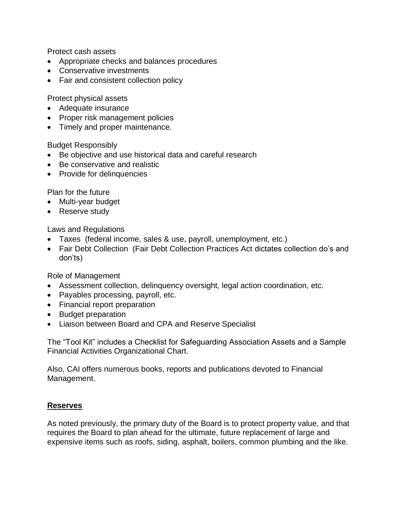Protect cash assets

- Appropriate checks and balances procedures
- Conservative investments
- Fair and consistent collection policy

Protect physical assets

- Adequate insurance
- Proper risk management policies
- Timely and proper maintenance.

#### Budget Responsibly

- Be objective and use historical data and careful research
- Be conservative and realistic
- Provide for delinquencies

Plan for the future

- Multi-year budget
- Reserve study

Laws and Regulations

- Taxes (federal income, sales & use, payroll, unemployment, etc.)
- Fair Debt Collection (Fair Debt Collection Practices Act dictates collection do's and don'ts)

Role of Management

- Assessment collection, delinquency oversight, legal action coordination, etc.
- Payables processing, payroll, etc.
- Financial report preparation
- Budget preparation
- Liaison between Board and CPA and Reserve Specialist

The "Tool Kit" includes a Checklist for Safeguarding Association Assets and a Sample Financial Activities Organizational Chart.

Also, CAI offers numerous books, reports and publications devoted to Financial Management.

# **Reserves**

As noted previously, the primary duty of the Board is to protect property value, and that requires the Board to plan ahead for the ultimate, future replacement of large and expensive items such as roofs, siding, asphalt, boilers, common plumbing and the like.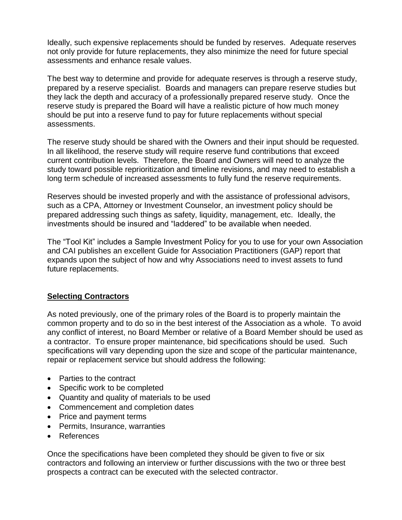Ideally, such expensive replacements should be funded by reserves. Adequate reserves not only provide for future replacements, they also minimize the need for future special assessments and enhance resale values.

The best way to determine and provide for adequate reserves is through a reserve study, prepared by a reserve specialist. Boards and managers can prepare reserve studies but they lack the depth and accuracy of a professionally prepared reserve study. Once the reserve study is prepared the Board will have a realistic picture of how much money should be put into a reserve fund to pay for future replacements without special assessments.

The reserve study should be shared with the Owners and their input should be requested. In all likelihood, the reserve study will require reserve fund contributions that exceed current contribution levels. Therefore, the Board and Owners will need to analyze the study toward possible reprioritization and timeline revisions, and may need to establish a long term schedule of increased assessments to fully fund the reserve requirements.

Reserves should be invested properly and with the assistance of professional advisors, such as a CPA, Attorney or Investment Counselor, an investment policy should be prepared addressing such things as safety, liquidity, management, etc. Ideally, the investments should be insured and "laddered" to be available when needed.

The "Tool Kit" includes a Sample Investment Policy for you to use for your own Association and CAI publishes an excellent Guide for Association Practitioners (GAP) report that expands upon the subject of how and why Associations need to invest assets to fund future replacements.

#### **Selecting Contractors**

As noted previously, one of the primary roles of the Board is to properly maintain the common property and to do so in the best interest of the Association as a whole. To avoid any conflict of interest, no Board Member or relative of a Board Member should be used as a contractor. To ensure proper maintenance, bid specifications should be used. Such specifications will vary depending upon the size and scope of the particular maintenance, repair or replacement service but should address the following:

- Parties to the contract
- Specific work to be completed
- Quantity and quality of materials to be used
- Commencement and completion dates
- Price and payment terms
- Permits, Insurance, warranties
- References

Once the specifications have been completed they should be given to five or six contractors and following an interview or further discussions with the two or three best prospects a contract can be executed with the selected contractor.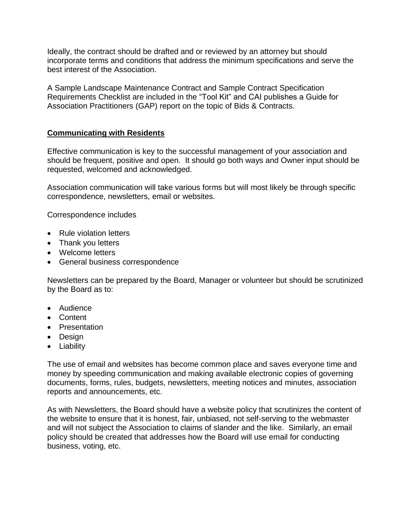Ideally, the contract should be drafted and or reviewed by an attorney but should incorporate terms and conditions that address the minimum specifications and serve the best interest of the Association.

A Sample Landscape Maintenance Contract and Sample Contract Specification Requirements Checklist are included in the "Tool Kit" and CAI publishes a Guide for Association Practitioners (GAP) report on the topic of Bids & Contracts.

# **Communicating with Residents**

Effective communication is key to the successful management of your association and should be frequent, positive and open. It should go both ways and Owner input should be requested, welcomed and acknowledged.

Association communication will take various forms but will most likely be through specific correspondence, newsletters, email or websites.

Correspondence includes

- Rule violation letters
- Thank you letters
- Welcome letters
- General business correspondence

Newsletters can be prepared by the Board, Manager or volunteer but should be scrutinized by the Board as to:

- Audience
- Content
- Presentation
- Design
- Liability

The use of email and websites has become common place and saves everyone time and money by speeding communication and making available electronic copies of governing documents, forms, rules, budgets, newsletters, meeting notices and minutes, association reports and announcements, etc.

As with Newsletters, the Board should have a website policy that scrutinizes the content of the website to ensure that it is honest, fair, unbiased, not self-serving to the webmaster and will not subject the Association to claims of slander and the like. Similarly, an email policy should be created that addresses how the Board will use email for conducting business, voting, etc.